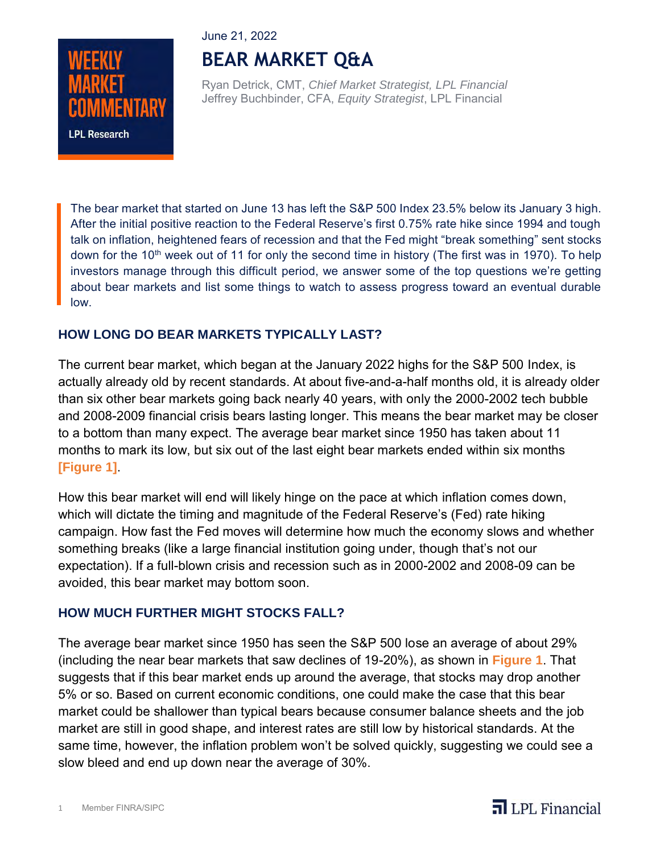### June 21, 2022



# **BEAR MARKET Q&A**

Ryan Detrick, CMT, *Chief Market Strategist, LPL Financial* Jeffrey Buchbinder, CFA, *Equity Strategist*, LPL Financial

The bear market that started on June 13 has left the S&P 500 Index 23.5% below its January 3 high. After the initial positive reaction to the Federal Reserve's first 0.75% rate hike since 1994 and tough talk on inflation, heightened fears of recession and that the Fed might "break something" sent stocks down for the 10<sup>th</sup> week out of 11 for only the second time in history (The first was in 1970). To help investors manage through this difficult period, we answer some of the top questions we're getting about bear markets and list some things to watch to assess progress toward an eventual durable low.

# **HOW LONG DO BEAR MARKETS TYPICALLY LAST?**

The current bear market, which began at the January 2022 highs for the S&P 500 Index, is actually already old by recent standards. At about five-and-a-half months old, it is already older than six other bear markets going back nearly 40 years, with only the 2000-2002 tech bubble and 2008-2009 financial crisis bears lasting longer. This means the bear market may be closer to a bottom than many expect. The average bear market since 1950 has taken about 11 months to mark its low, but six out of the last eight bear markets ended within six months **[Figure 1]**.

How this bear market will end will likely hinge on the pace at which inflation comes down, which will dictate the timing and magnitude of the Federal Reserve's (Fed) rate hiking campaign. How fast the Fed moves will determine how much the economy slows and whether something breaks (like a large financial institution going under, though that's not our expectation). If a full-blown crisis and recession such as in 2000-2002 and 2008-09 can be avoided, this bear market may bottom soon.

## **HOW MUCH FURTHER MIGHT STOCKS FALL?**

The average bear market since 1950 has seen the S&P 500 lose an average of about 29% (including the near bear markets that saw declines of 19-20%), as shown in **Figure 1**. That suggests that if this bear market ends up around the average, that stocks may drop another 5% or so. Based on current economic conditions, one could make the case that this bear market could be shallower than typical bears because consumer balance sheets and the job market are still in good shape, and interest rates are still low by historical standards. At the same time, however, the inflation problem won't be solved quickly, suggesting we could see a slow bleed and end up down near the average of 30%.

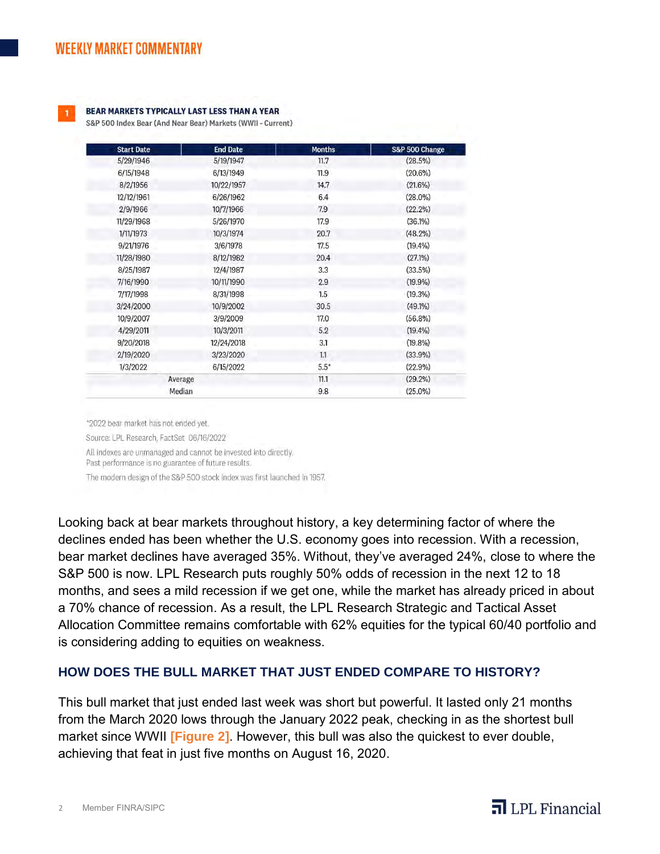#### BEAR MARKETS TYPICALLY LAST LESS THAN A YEAR

S&P 500 Index Bear (And Near Bear) Markets (WWII - Current)

| <b>Start Date</b> | <b>End Date</b> | <b>Months</b> | S&P 500 Change |
|-------------------|-----------------|---------------|----------------|
| 5/29/1946         | 5/19/1947       | 11.7          | (28.5%)        |
| 6/15/1948         | 6/13/1949       | 11.9          | (20.6%)        |
| 8/2/1956          | 10/22/1957      | 14.7          | $(21.6\%)$     |
| 12/12/1961        | 6/26/1962       | 6.4           | $(28.0\%)$     |
| 2/9/1966          | 10/7/1966       | 7.9           | $(22.2\%)$     |
| 11/29/1968        | 5/26/1970       | 17.9          | $(36.1\%)$     |
| 1/11/1973         | 10/3/1974       | 20.7          | $(48.2\%)$     |
| 9/21/1976         | 3/6/1978        | 17.5          | $(19.4\%)$     |
| 11/28/1980        | 8/12/1982       | 20.4          | $(27.1\%)$     |
| 8/25/1987         | 12/4/1987       | 3.3           | (33.5%)        |
| 7/16/1990         | 10/11/1990      | 2.9           | $(19.9\%)$     |
| 7/17/1998         | 8/31/1998       | 1.5           | $(19.3\%)$     |
| 3/24/2000         | 10/9/2002       | 30.5          | $(49.1\%)$     |
| 10/9/2007         | 3/9/2009        | 17.0          | $(56.8\%)$     |
| 4/29/2011         | 10/3/2011       | 5.2           | $(19.4\%)$     |
| 9/20/2018         | 12/24/2018      | 3.1           | $(19.8\%)$     |
| 2/19/2020         | 3/23/2020       | 1.1           | $(33.9\%)$     |
| 1/3/2022          | 6/15/2022       | $5.5*$        | $(22.9\%)$     |
|                   | Average         | 11.1          | $(29.2\%)$     |
|                   | Median          | 9.8           | $(25.0\%)$     |

\*2022 bear market has not ended yet.

Source: LPL Research, FactSet 06/16/2022

All indexes are unmanaged and cannot be invested into directly.

Past performance is no guarantee of future results.

The modern design of the S&P 500 stock index was first launched in 1957.

Looking back at bear markets throughout history, a key determining factor of where the declines ended has been whether the U.S. economy goes into recession. With a recession, bear market declines have averaged 35%. Without, they've averaged 24%, close to where the S&P 500 is now. LPL Research puts roughly 50% odds of recession in the next 12 to 18 months, and sees a mild recession if we get one, while the market has already priced in about a 70% chance of recession. As a result, the LPL Research Strategic and Tactical Asset Allocation Committee remains comfortable with 62% equities for the typical 60/40 portfolio and is considering adding to equities on weakness.

# **HOW DOES THE BULL MARKET THAT JUST ENDED COMPARE TO HISTORY?**

This bull market that just ended last week was short but powerful. It lasted only 21 months from the March 2020 lows through the January 2022 peak, checking in as the shortest bull market since WWII **[Figure 2]**. However, this bull was also the quickest to ever double, achieving that feat in just five months on August 16, 2020.

# $\overline{\mathbf{d}}$  LPL Financial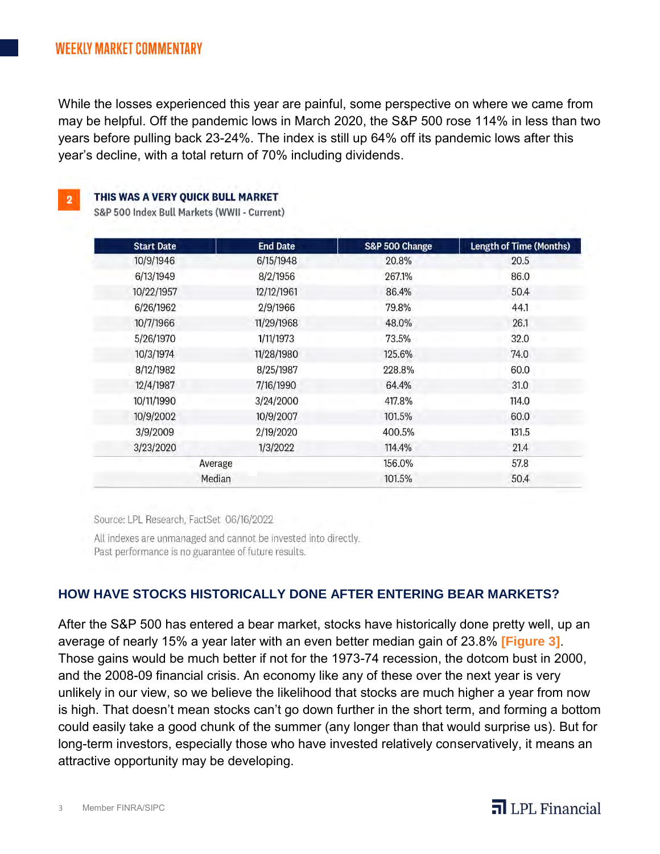While the losses experienced this year are painful, some perspective on where we came from may be helpful. Off the pandemic lows in March 2020, the S&P 500 rose 114% in less than two years before pulling back 23-24%. The index is still up 64% off its pandemic lows after this year's decline, with a total return of 70% including dividends.

THIS WAS A VERY OUICK BULL MARKET

S&P 500 Index Bull Markets (WWII - Current)

| <b>End Date</b> | S&P 500 Change | <b>Length of Time (Months)</b> |
|-----------------|----------------|--------------------------------|
| 6/15/1948       | 20.8%          | 20.5                           |
| 8/2/1956        | 267.1%         | 86.0                           |
| 12/12/1961      | 86.4%          | 50.4                           |
| 2/9/1966        | 79.8%          | 44.1                           |
| 11/29/1968      | 48.0%          | 26.1                           |
| 1/11/1973       | 73.5%          | 32.0                           |
| 11/28/1980      | 125.6%         | 74.0                           |
| 8/25/1987       | 228.8%         | 60.0                           |
| 7/16/1990       | 64.4%          | 31.0                           |
| 3/24/2000       | 417.8%         | 114.0                          |
| 10/9/2007       | 101.5%         | 60.0                           |
| 2/19/2020       | 400.5%         | 131.5                          |
| 1/3/2022        | 114.4%         | 21.4                           |
| Average         | 156.0%         | 57.8                           |
|                 | 101.5%         | 50.4                           |
|                 | Median         |                                |

Source: LPL Research, FactSet 06/16/2022

All indexes are unmanaged and cannot be invested into directly. Past performance is no guarantee of future results.

# **HOW HAVE STOCKS HISTORICALLY DONE AFTER ENTERING BEAR MARKETS?**

After the S&P 500 has entered a bear market, stocks have historically done pretty well, up an average of nearly 15% a year later with an even better median gain of 23.8% **[Figure 3]**. Those gains would be much better if not for the 1973-74 recession, the dotcom bust in 2000, and the 2008-09 financial crisis. An economy like any of these over the next year is very unlikely in our view, so we believe the likelihood that stocks are much higher a year from now is high. That doesn't mean stocks can't go down further in the short term, and forming a bottom could easily take a good chunk of the summer (any longer than that would surprise us). But for long-term investors, especially those who have invested relatively conservatively, it means an attractive opportunity may be developing.

# $\overline{\mathbf{a}}$  LPL Financial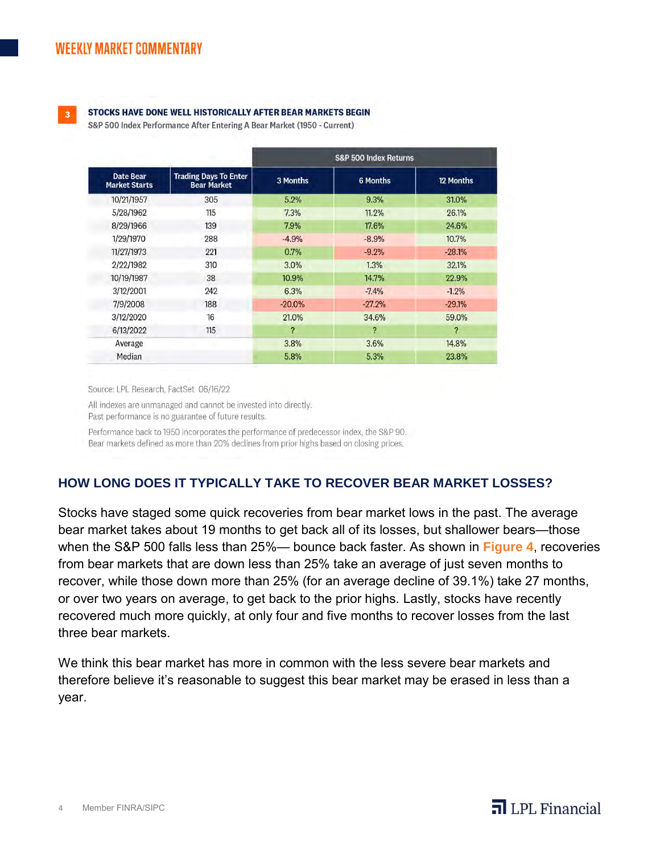

### STOCKS HAVE DONE WELL HISTORICALLY AFTER BEAR MARKETS BEGIN

S&P 500 Index Performance After Entering A Bear Market (1950 - Current)

|                                          |                                                    | S&P 500 Index Returns |                 |           |
|------------------------------------------|----------------------------------------------------|-----------------------|-----------------|-----------|
| <b>Date Bear</b><br><b>Market Starts</b> | <b>Trading Days To Enter</b><br><b>Bear Market</b> | 3 Months              | <b>6 Months</b> | 12 Months |
| 10/21/1957                               | 305                                                | 5.2%                  | 9.3%            | 31.0%     |
| 5/28/1962                                | 115                                                | 7.3%                  | 11.2%           | 26.1%     |
| 8/29/1966                                | 139                                                | 7.9%                  | 17.6%           | 24.6%     |
| 1/29/1970                                | 288                                                | $-4.9%$               | $-8.9%$         | 10.7%     |
| 11/27/1973                               | 221                                                | 0.7%                  | $-9.2%$         | $-28.1%$  |
| 2/22/1982                                | 310                                                | 3.0%                  | 1.3%            | 32.1%     |
| 10/19/1987                               | 38                                                 | 10.9%                 | 14.7%           | 22.9%     |
| 3/12/2001                                | 242                                                | 6.3%                  | $-7.4%$         | $-1.2%$   |
| 7/9/2008                                 | 188                                                | $-20.0%$              | $-27.2%$        | $-29.1%$  |
| 3/12/2020                                | 16                                                 | 21.0%                 | 34.6%           | 59.0%     |
| 6/13/2022                                | 115                                                | ?                     | ?               | ?         |
| Average                                  |                                                    | 3.8%                  | 3.6%            | 14.8%     |
| Median                                   |                                                    | 5.8%                  | 5.3%            | 23.8%     |

Source: LPL Research, FactSet 06/16/22

All indexes are unmanaged and cannot be invested into directly. Past performance is no guarantee of future results.

Performance back to 1950 incorporates the performance of predecessor index, the S&P 90. Bear markets defined as more than 20% declines from prior highs based on closing prices.

## **HOW LONG DOES IT TYPICALLY TAKE TO RECOVER BEAR MARKET LOSSES?**

Stocks have staged some quick recoveries from bear market lows in the past. The average bear market takes about 19 months to get back all of its losses, but shallower bears—those when the S&P 500 falls less than 25%— bounce back faster. As shown in **Figure 4**, recoveries from bear markets that are down less than 25% take an average of just seven months to recover, while those down more than 25% (for an average decline of 39.1%) take 27 months, or over two years on average, to get back to the prior highs. Lastly, stocks have recently recovered much more quickly, at only four and five months to recover losses from the last three bear markets.

We think this bear market has more in common with the less severe bear markets and therefore believe it's reasonable to suggest this bear market may be erased in less than a year.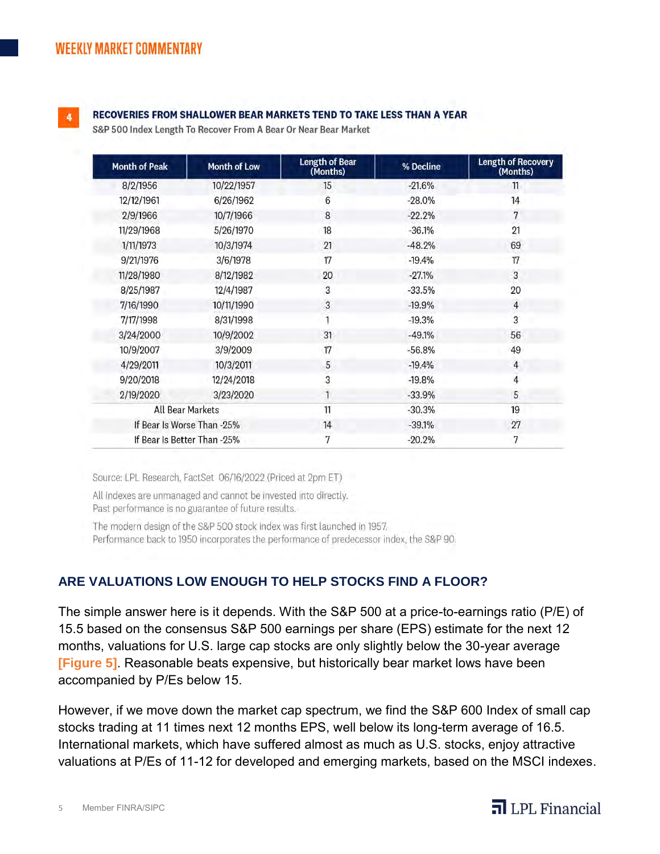

### RECOVERIES FROM SHALLOWER BEAR MARKETS TEND TO TAKE LESS THAN A YEAR

S&P 500 Index Length To Recover From A Bear Or Near Bear Market

| <b>Month of Peak</b> | <b>Month of Low</b>         | <b>Length of Bear</b><br>(Months) | % Decline | <b>Length of Recovery</b><br>(Months) |
|----------------------|-----------------------------|-----------------------------------|-----------|---------------------------------------|
| 8/2/1956             | 10/22/1957                  | 15                                | $-21.6%$  | 11                                    |
| 12/12/1961           | 6/26/1962                   | 6                                 | $-28.0%$  | 14                                    |
| 2/9/1966             | 10/7/1966                   | 8                                 | $-22.2%$  | 7                                     |
| 11/29/1968           | 5/26/1970                   | 18                                | $-36.1%$  | 21                                    |
| 1/11/1973            | 10/3/1974                   | 21                                | $-48.2%$  | 69                                    |
| 9/21/1976            | 3/6/1978                    | 17                                | $-19.4%$  | 17                                    |
| 11/28/1980           | 8/12/1982                   | 20                                | $-27.1%$  | 3                                     |
| 8/25/1987            | 12/4/1987                   | 3                                 | $-33.5%$  | 20                                    |
| 7/16/1990            | 10/11/1990                  | 3                                 | $-19.9%$  | $\overline{4}$                        |
| 7/17/1998            | 8/31/1998                   |                                   | $-19.3%$  | 3                                     |
| 3/24/2000            | 10/9/2002                   | 31                                | $-49.1%$  | 56                                    |
| 10/9/2007            | 3/9/2009                    | 17                                | $-56.8%$  | 49                                    |
| 4/29/2011            | 10/3/2011                   | 5                                 | $-19.4%$  | 4                                     |
| 9/20/2018            | 12/24/2018                  | 3                                 | $-19.8%$  |                                       |
| 2/19/2020            | 3/23/2020                   |                                   | $-33.9%$  | 5                                     |
|                      | <b>All Bear Markets</b>     | 11                                | $-30.3%$  | 19                                    |
|                      | If Bear Is Worse Than -25%  | 14                                | $-39.1%$  | 27                                    |
|                      | If Bear Is Better Than -25% | 7                                 | $-20.2%$  | 7                                     |

Source: LPL Research, FactSet 06/16/2022 (Priced at 2pm ET)

All indexes are unmanaged and cannot be invested into directly.

Past performance is no guarantee of future results.

The modern design of the S&P 500 stock index was first launched in 1957.

Performance back to 1950 incorporates the performance of predecessor index, the S&P 90.

## **ARE VALUATIONS LOW ENOUGH TO HELP STOCKS FIND A FLOOR?**

The simple answer here is it depends. With the S&P 500 at a price-to-earnings ratio (P/E) of 15.5 based on the consensus S&P 500 earnings per share (EPS) estimate for the next 12 months, valuations for U.S. large cap stocks are only slightly below the 30-year average **[Figure 5]**. Reasonable beats expensive, but historically bear market lows have been accompanied by P/Es below 15.

However, if we move down the market cap spectrum, we find the S&P 600 Index of small cap stocks trading at 11 times next 12 months EPS, well below its long-term average of 16.5. International markets, which have suffered almost as much as U.S. stocks, enjoy attractive valuations at P/Es of 11-12 for developed and emerging markets, based on the MSCI indexes.

# $\overline{\mathbf{d}}$  LPL Financial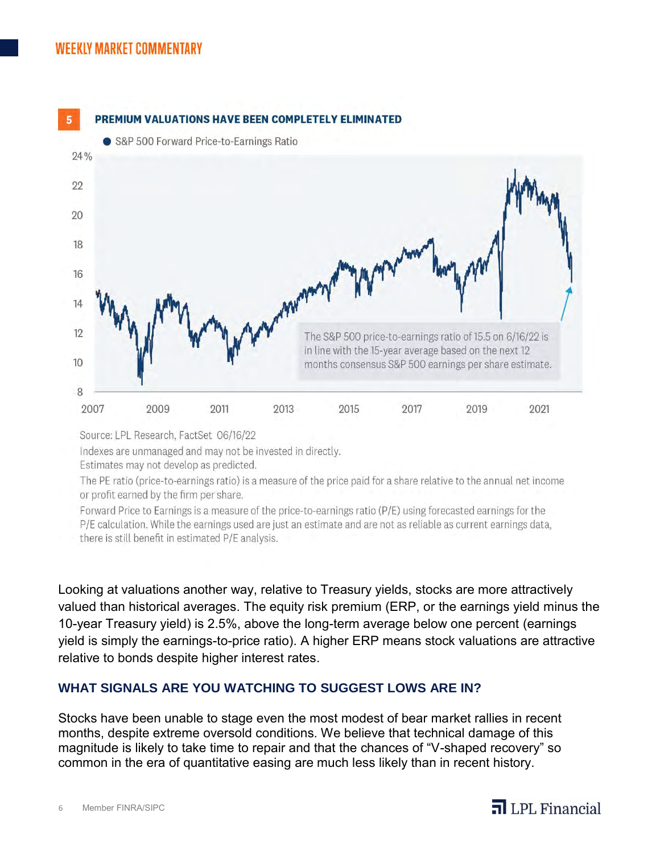

Source: LPL Research, FactSet 06/16/22

Indexes are unmanaged and may not be invested in directly.

Estimates may not develop as predicted.

The PE ratio (price-to-earnings ratio) is a measure of the price paid for a share relative to the annual net income or profit earned by the firm per share.

Forward Price to Earnings is a measure of the price-to-earnings ratio (P/E) using forecasted earnings for the P/E calculation. While the earnings used are just an estimate and are not as reliable as current earnings data, there is still benefit in estimated P/E analysis.

Looking at valuations another way, relative to Treasury yields, stocks are more attractively valued than historical averages. The equity risk premium (ERP, or the earnings yield minus the 10-year Treasury yield) is 2.5%, above the long-term average below one percent (earnings yield is simply the earnings-to-price ratio). A higher ERP means stock valuations are attractive relative to bonds despite higher interest rates.

# **WHAT SIGNALS ARE YOU WATCHING TO SUGGEST LOWS ARE IN?**

Stocks have been unable to stage even the most modest of bear market rallies in recent months, despite extreme oversold conditions. We believe that technical damage of this magnitude is likely to take time to repair and that the chances of "V-shaped recovery" so common in the era of quantitative easing are much less likely than in recent history.

# $\overline{\mathbf{d}}$  LPL Financial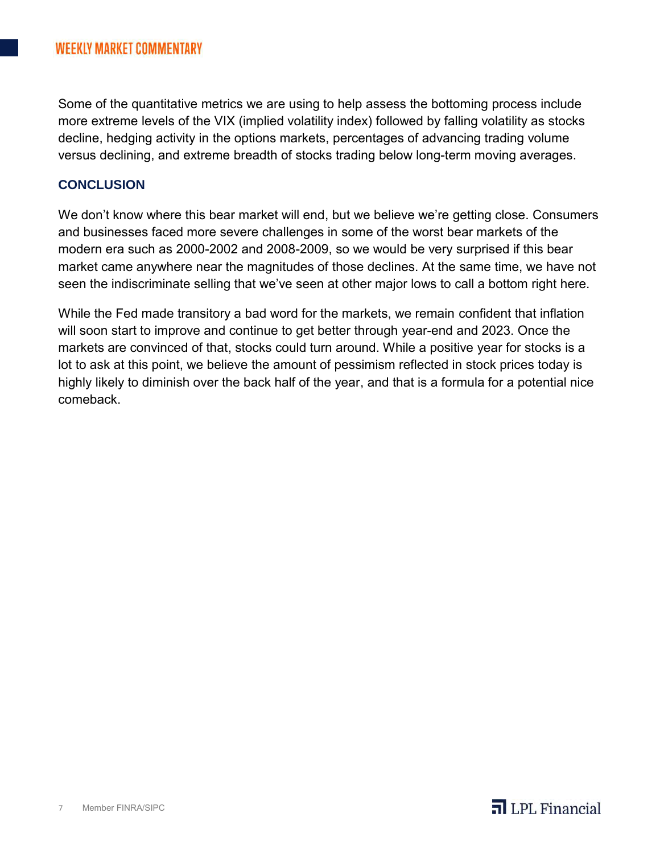Some of the quantitative metrics we are using to help assess the bottoming process include more extreme levels of the VIX (implied volatility index) followed by falling volatility as stocks decline, hedging activity in the options markets, percentages of advancing trading volume versus declining, and extreme breadth of stocks trading below long-term moving averages.

# **CONCLUSION**

We don't know where this bear market will end, but we believe we're getting close. Consumers and businesses faced more severe challenges in some of the worst bear markets of the modern era such as 2000-2002 and 2008-2009, so we would be very surprised if this bear market came anywhere near the magnitudes of those declines. At the same time, we have not seen the indiscriminate selling that we've seen at other major lows to call a bottom right here.

While the Fed made transitory a bad word for the markets, we remain confident that inflation will soon start to improve and continue to get better through year-end and 2023. Once the markets are convinced of that, stocks could turn around. While a positive year for stocks is a lot to ask at this point, we believe the amount of pessimism reflected in stock prices today is highly likely to diminish over the back half of the year, and that is a formula for a potential nice comeback.